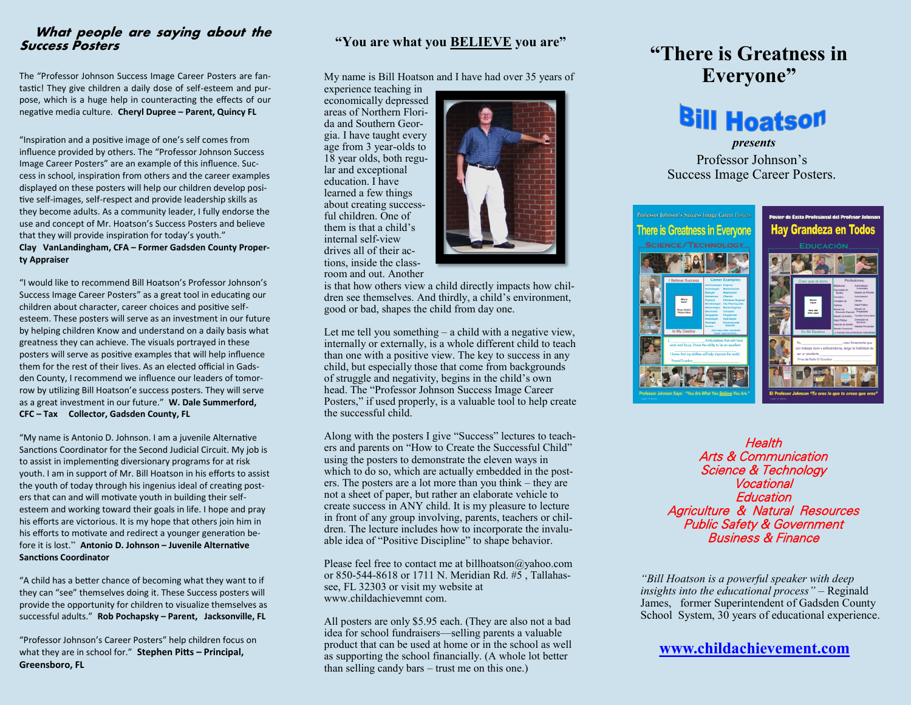### **What people are saying about the Success Posters**

The "Professor Johnson Success Image Career Posters are fantastic! They give children a daily dose of self-esteem and purpose, which is a huge help in counteracting the effects of our negative media culture. **Cheryl Dupree – Parent, Quincy FL**

"Inspiration and a positive image of one's self comes from influence provided by others. The "Professor Johnson Success Image Career Posters" are an example of this influence. Success in school, inspiration from others and the career examples displayed on these posters will help our children develop positive self-images, self-respect and provide leadership skills as they become adults. As a community leader, I fully endorse the use and concept of Mr. Hoatson's Success Posters and believe that they will provide inspiration for today's youth." **Clay VanLandingham, CFA – Former Gadsden County Property Appraiser**

"I would like to recommend Bill Hoatson's Professor Johnson's Success Image Career Posters" as a great tool in educating our children about character, career choices and positive selfesteem. These posters will serve as an investment in our future by helping children Know and understand on a daily basis what greatness they can achieve. The visuals portrayed in these posters will serve as positive examples that will help influence them for the rest of their lives. As an elected official in Gadsden County, I recommend we influence our leaders of tomorrow by utilizing Bill Hoatson'e success posters. They will serve as a great investment in our future." **W. Dale Summerford, CFC – Tax Collector, Gadsden County, FL**

"My name is Antonio D. Johnson. I am a juvenile Alternative Sanctions Coordinator for the Second Judicial Circuit. My job is to assist in implementing diversionary programs for at risk youth. I am in support of Mr. Bill Hoatson in his efforts to assist the youth of today through his ingenius ideal of creating posters that can and will motivate youth in building their selfesteem and working toward their goals in life. I hope and pray his efforts are victorious. It is my hope that others join him in his efforts to motivate and redirect a younger generation before it is lost." **Antonio D. Johnson – Juvenile Alternative Sanctions Coordinator**

"A child has a better chance of becoming what they want to if they can "see" themselves doing it. These Success posters will provide the opportunity for children to visualize themselves as successful adults." **Rob Pochapsky – Parent, Jacksonville, FL**

"Professor Johnson's Career Posters" help children focus on what they are in school for." **Stephen Pitts – Principal, Greensboro, FL**

## **"You are what you BELIEVE you are"**

My name is Bill Hoatson and I have had over 35 years of

experience teaching in economically depressed areas of Northern Florida and Southern Georgia. I have taught every age from 3 year-olds to 18 year olds, both regular and exceptional education. I have learned a few things about creating successful children. One of them is that a child's internal self-view drives all of their actions, inside the classroom and out. Another



is that how others view a child directly impacts how children see themselves. And thirdly, a child's environment, good or bad, shapes the child from day one.

Let me tell you something  $-$  a child with a negative view, internally or externally, is a whole different child to teach than one with a positive view. The key to success in any child, but especially those that come from backgrounds of struggle and negativity, begins in the child's own head. The "Professor Johnson Success Image Career Posters," if used properly, is a valuable tool to help create the successful child.

Along with the posters I give "Success" lectures to teachers and parents on "How to Create the Successful Child" using the posters to demonstrate the eleven ways in which to do so, which are actually embedded in the posters. The posters are a lot more than you think – they are not a sheet of paper, but rather an elaborate vehicle to create success in ANY child. It is my pleasure to lecture in front of any group involving, parents, teachers or children. The lecture includes how to incorporate the invaluable idea of "Positive Discipline" to shape behavior.

Please feel free to contact me at billhoatson@yahoo.com or 850-544-8618 or 1711 N. Meridian Rd. #5 , Tallahassee, FL 32303 or visit my website at www.childachievemnt com.

All posters are only \$5.95 each. (They are also not a bad idea for school fundraisers—selling parents a valuable product that can be used at home or in the school as well as supporting the school financially. (A whole lot better than selling candy bars – trust me on this one.)

# **"There is Greatness in Everyone"**

# **Bill Hoatson**

 *presents*

Professor Johnson's Success Image Career Posters.



**Health** Arts & Communication Science & Technology Vocational **Education** Agriculture & Natural Resources Public Safety & Government Business & Finance

*"Bill Hoatson is a powerful speaker with deep insights into the educational process"* – Reginald James, former Superintendent of Gadsden County School System, 30 years of educational experience.

# **[www.childachievement.com](http://www.childachievement.com)**